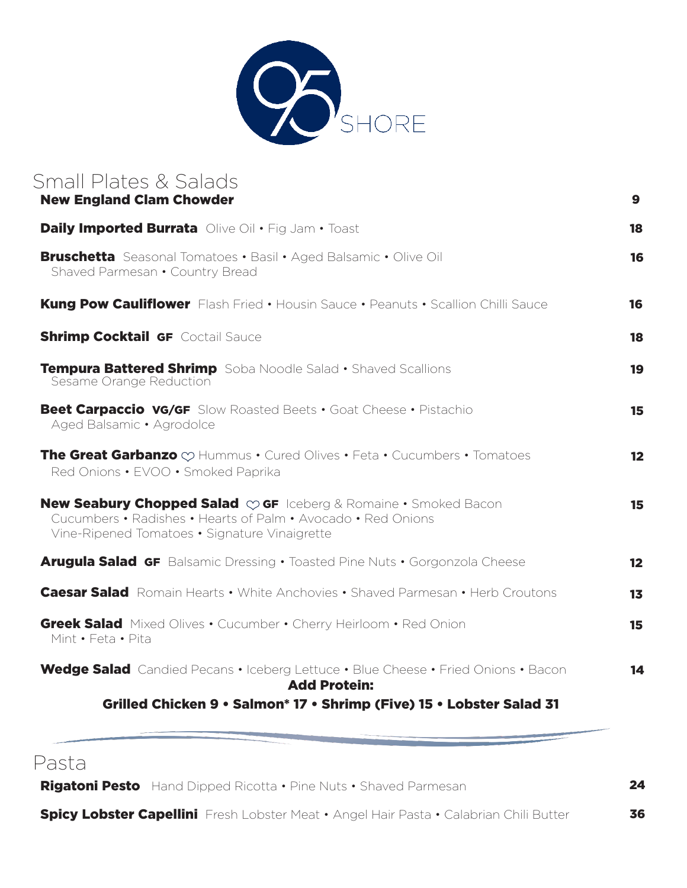

| Small Plates & Salads<br><b>New England Clam Chowder</b>                                                                                                                                                      | 9  |
|---------------------------------------------------------------------------------------------------------------------------------------------------------------------------------------------------------------|----|
| <b>Daily Imported Burrata</b> Olive Oil . Fig Jam . Toast                                                                                                                                                     | 18 |
| <b>Bruschetta</b> Seasonal Tomatoes • Basil • Aged Balsamic • Olive Oil<br>Shaved Parmesan . Country Bread                                                                                                    | 16 |
| <b>Kung Pow Cauliflower</b> Flash Fried • Housin Sauce • Peanuts • Scallion Chilli Sauce                                                                                                                      | 16 |
| <b>Shrimp Cocktail GF Coctail Sauce</b>                                                                                                                                                                       | 18 |
| Tempura Battered Shrimp Soba Noodle Salad . Shaved Scallions<br>Sesame Orange Reduction                                                                                                                       | 19 |
| <b>Beet Carpaccio VG/GF</b> Slow Roasted Beets . Goat Cheese . Pistachio<br>Aged Balsamic • Agrodolce                                                                                                         | 15 |
| <b>The Great Garbanzo</b> $\oslash$ Hummus $\cdot$ Cured Olives $\cdot$ Feta $\cdot$ Cucumbers $\cdot$ Tomatoes<br>Red Onions • EVOO • Smoked Paprika                                                         | 12 |
| <b>New Seabury Chopped Salad <math>\heartsuit</math> GF</b> Iceberg & Romaine • Smoked Bacon<br>Cucumbers • Radishes • Hearts of Palm • Avocado • Red Onions<br>Vine-Ripened Tomatoes • Signature Vinaigrette | 15 |
| Arugula Salad GF Balsamic Dressing . Toasted Pine Nuts . Gorgonzola Cheese                                                                                                                                    | 12 |
| <b>Caesar Salad</b> Romain Hearts • White Anchovies • Shaved Parmesan • Herb Croutons                                                                                                                         | 13 |
| <b>Greek Salad</b> Mixed Olives . Cucumber . Cherry Heirloom . Red Onion<br>Mint . Feta . Pita                                                                                                                | 15 |
| <b>Wedge Salad</b> Candied Pecans • Iceberg Lettuce • Blue Cheese • Fried Onions • Bacon<br><b>Add Protein:</b><br>Grilled Chicken 9 . Salmon* 17 . Shrimp (Five) 15 . Lobster Salad 31                       | 14 |
|                                                                                                                                                                                                               |    |

## Pasta

Rigatoni Pesto Hand Dipped Ricotta • Pine Nuts • Shaved Parmesan

24

**Spicy Lobster Capellini** Fresh Lobster Meat • Angel Hair Pasta • Calabrian Chili Butter

36